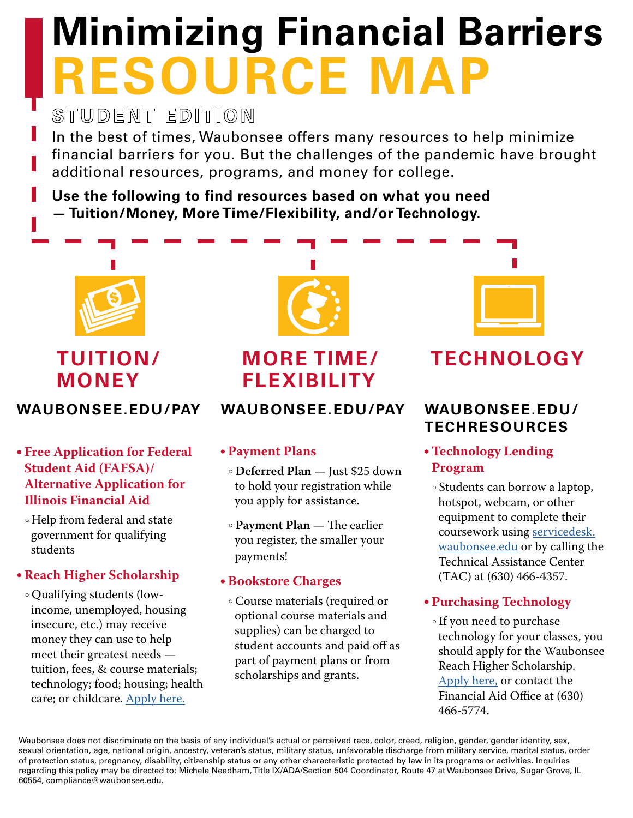# **Minimizing Financial Barriers RESOURCE MAP**

STUDENT EDITION

In the best of times, Waubonsee offers many resources to help minimize financial barriers for you. But the challenges of the pandemic have brought additional resources, programs, and money for college.

**Use the following to find resources based on what you need — Tuition/Money, More Time/Flexibility, and/or Technology.** 



### **TUITION/ MONEY**

### **WAUBONSEE.EDU/PAY**

- **Free Application for Federal Student Aid (FAFSA)/ Alternative Application for Illinois Financial Aid**
- Help from federal and state government for qualifying students

### **Reach Higher Scholarship**

 Qualifying students (lowincome, unemployed, housing insecure, etc.) may receive money they can use to help meet their greatest needs tuition, fees, & course materials; technology; food; housing; health care; or childcare. [Apply here.](https://mywcc.waubonsee.edu/reach-higher-scholarship-application)



## **[MORE TIME/](http://waubonsee.edu/pay) FLEXIBILITY**

### **WAUBONSEE.EDU/PAY**

### **Payment Plans**

- **Deferred Plan** Just \$25 down to hold your registration while you apply for assistance.
- **Payment Plan**  The earlier you register, the smaller your payments!

### **Bookstore Charges**

 Course materials (required or optional course materials and supplies) can be charged to student accounts and paid off as part of payment plans or from scholarships and grants.



## **[TECHNOLOGY](http://waubonsee.edu/techresources)**

### **WAUBONSEE.EDU/ TECHRESOURCES**

### **Technology Lending Program**

 Students can borrow a laptop, hotspot, webcam, or other equipment to complete their coursework using [servicedesk.](http://servicedesk.waubonsee.edu) [waubonsee.edu](http://servicedesk.waubonsee.edu) or by calling the Technical Assistance Center (TAC) at (630) 466-4357.

### **Purchasing Technology**

 If you need to purchase technology for your classes, you should apply for the Waubonsee Reach Higher Scholarship. [Apply here,](https://mywcc.waubonsee.edu/reach-higher-scholarship-application) or contact the Financial Aid Office at (630) 466-5774.

Waubonsee does not discriminate on the basis of any individual's actual or perceived race, color, creed, religion, gender, gender identity, sex, sexual orientation, age, national origin, ancestry, veteran's status, military status, unfavorable discharge from military service, marital status, order of protection status, pregnancy, disability, citizenship status or any other characteristic protected by law in its programs or activities. Inquiries regarding this policy may be directed to: Michele Needham, Title IX/ADA/Section 504 Coordinator, Route 47 at Waubonsee Drive, Sugar Grove, IL 60554, compliance@waubonsee.edu.